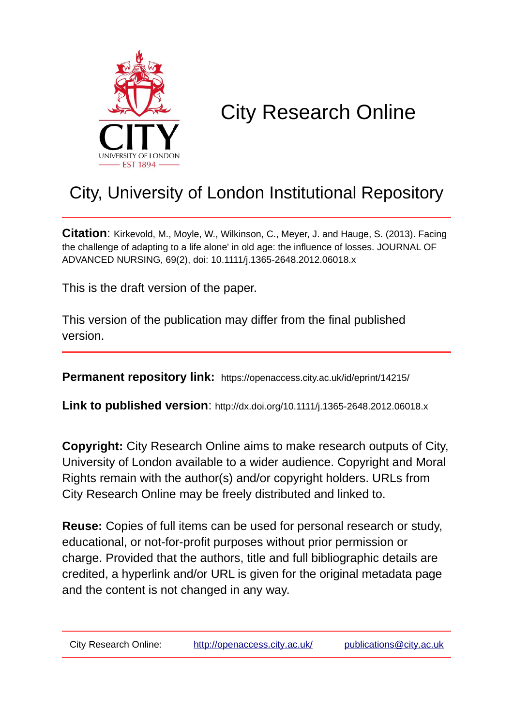

# City Research Online

## City, University of London Institutional Repository

**Citation**: Kirkevold, M., Moyle, W., Wilkinson, C., Meyer, J. and Hauge, S. (2013). Facing the challenge of adapting to a life alone' in old age: the influence of losses. JOURNAL OF ADVANCED NURSING, 69(2), doi: 10.1111/j.1365-2648.2012.06018.x

This is the draft version of the paper.

This version of the publication may differ from the final published version.

**Permanent repository link:** https://openaccess.city.ac.uk/id/eprint/14215/

**Link to published version**: http://dx.doi.org/10.1111/j.1365-2648.2012.06018.x

**Copyright:** City Research Online aims to make research outputs of City, University of London available to a wider audience. Copyright and Moral Rights remain with the author(s) and/or copyright holders. URLs from City Research Online may be freely distributed and linked to.

**Reuse:** Copies of full items can be used for personal research or study, educational, or not-for-profit purposes without prior permission or charge. Provided that the authors, title and full bibliographic details are credited, a hyperlink and/or URL is given for the original metadata page and the content is not changed in any way.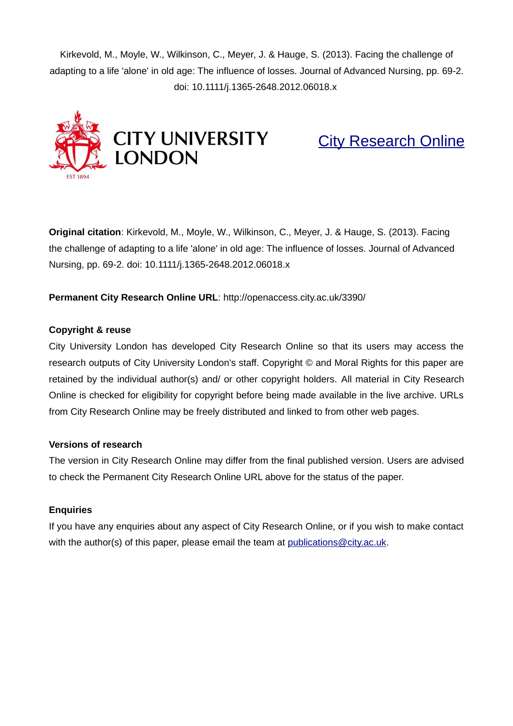Kirkevold, M., Moyle, W., Wilkinson, C., Meyer, J. & Hauge, S. (2013). Facing the challenge of adapting to a life 'alone' in old age: The influence of losses. Journal of Advanced Nursing, pp. 69-2. doi: 10.1111/j.1365-2648.2012.06018.x



[City Research Online](http://openaccess.city.ac.uk/)

**Original citation**: Kirkevold, M., Moyle, W., Wilkinson, C., Meyer, J. & Hauge, S. (2013). Facing the challenge of adapting to a life 'alone' in old age: The influence of losses. Journal of Advanced Nursing, pp. 69-2. doi: 10.1111/j.1365-2648.2012.06018.x

#### **Permanent City Research Online URL**: http://openaccess.city.ac.uk/3390/

#### **Copyright & reuse**

City University London has developed City Research Online so that its users may access the research outputs of City University London's staff. Copyright © and Moral Rights for this paper are retained by the individual author(s) and/ or other copyright holders. All material in City Research Online is checked for eligibility for copyright before being made available in the live archive. URLs from City Research Online may be freely distributed and linked to from other web pages.

#### **Versions of research**

The version in City Research Online may differ from the final published version. Users are advised to check the Permanent City Research Online URL above for the status of the paper.

#### **Enquiries**

If you have any enquiries about any aspect of City Research Online, or if you wish to make contact with the author(s) of this paper, please email the team at [publications@city.ac.uk.](mailto:publications@city.ac.uk)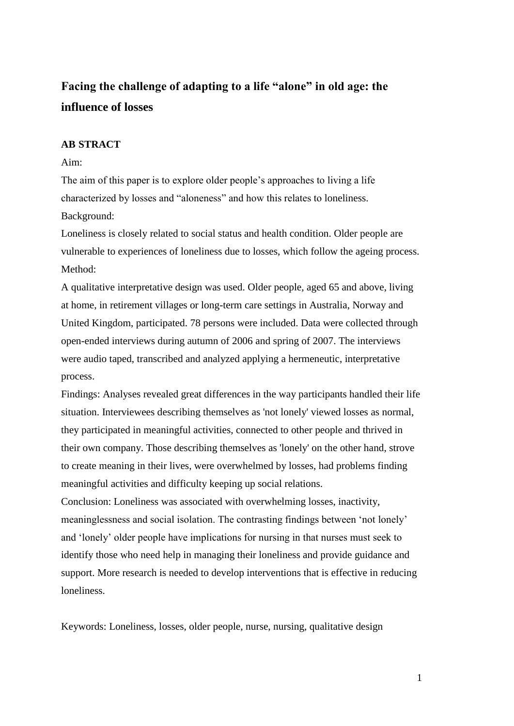### **Facing the challenge of adapting to a life "alone" in old age: the influence of losses**

#### **AB STRACT**

#### Aim:

The aim of this paper is to explore older people's approaches to living a life characterized by losses and "aloneness" and how this relates to loneliness. Background:

Loneliness is closely related to social status and health condition. Older people are vulnerable to experiences of loneliness due to losses, which follow the ageing process. Method:

A qualitative interpretative design was used. Older people, aged 65 and above, living at home, in retirement villages or long-term care settings in Australia, Norway and United Kingdom, participated. 78 persons were included. Data were collected through open-ended interviews during autumn of 2006 and spring of 2007. The interviews were audio taped, transcribed and analyzed applying a hermeneutic, interpretative process.

Findings: Analyses revealed great differences in the way participants handled their life situation. Interviewees describing themselves as 'not lonely' viewed losses as normal, they participated in meaningful activities, connected to other people and thrived in their own company. Those describing themselves as 'lonely' on the other hand, strove to create meaning in their lives, were overwhelmed by losses, had problems finding meaningful activities and difficulty keeping up social relations.

Conclusion: Loneliness was associated with overwhelming losses, inactivity, meaninglessness and social isolation. The contrasting findings between 'not lonely' and 'lonely' older people have implications for nursing in that nurses must seek to identify those who need help in managing their loneliness and provide guidance and support. More research is needed to develop interventions that is effective in reducing loneliness.

Keywords: Loneliness, losses, older people, nurse, nursing, qualitative design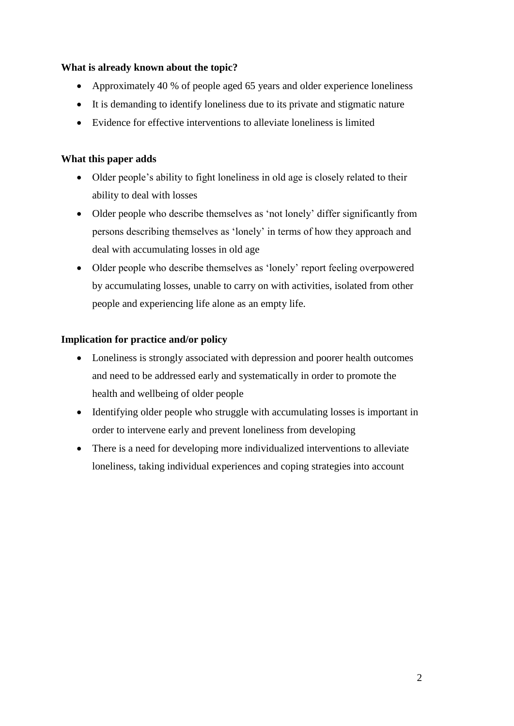#### **What is already known about the topic?**

- Approximately 40 % of people aged 65 years and older experience loneliness
- It is demanding to identify loneliness due to its private and stigmatic nature
- Evidence for effective interventions to alleviate loneliness is limited

#### **What this paper adds**

- Older people's ability to fight loneliness in old age is closely related to their ability to deal with losses
- Older people who describe themselves as 'not lonely' differ significantly from persons describing themselves as 'lonely' in terms of how they approach and deal with accumulating losses in old age
- Older people who describe themselves as 'lonely' report feeling overpowered by accumulating losses, unable to carry on with activities, isolated from other people and experiencing life alone as an empty life.

#### **Implication for practice and/or policy**

- Loneliness is strongly associated with depression and poorer health outcomes and need to be addressed early and systematically in order to promote the health and wellbeing of older people
- Identifying older people who struggle with accumulating losses is important in order to intervene early and prevent loneliness from developing
- There is a need for developing more individualized interventions to alleviate loneliness, taking individual experiences and coping strategies into account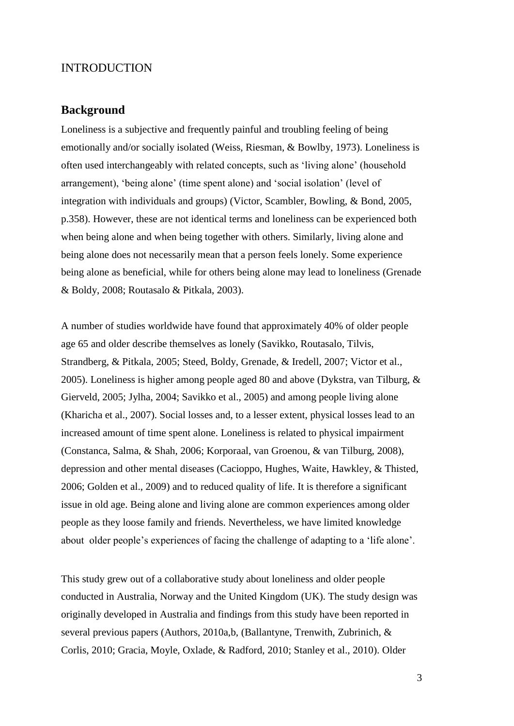#### INTRODUCTION

#### **Background**

Loneliness is a subjective and frequently painful and troubling feeling of being emotionally and/or socially isolated [\(Weiss, Riesman, & Bowlby, 1973\)](#page-21-0). Loneliness is often used interchangeably with related concepts, such as 'living alone' (household arrangement), 'being alone' (time spent alone) and 'social isolation' (level of integration with individuals and groups) [\(Victor, Scambler, Bowling, & Bond, 2005,](#page-21-1)  [p.358\)](#page-21-1). However, these are not identical terms and loneliness can be experienced both when being alone and when being together with others. Similarly, living alone and being alone does not necessarily mean that a person feels lonely. Some experience being alone as beneficial, while for others being alone may lead to loneliness [\(Grenade](#page-20-0)  [& Boldy, 2008;](#page-20-0) [Routasalo & Pitkala, 2003\)](#page-20-1).

A number of studies worldwide have found that approximately 40% of older people age 65 and older describe themselves as lonely [\(Savikko, Routasalo, Tilvis,](#page-20-2)  [Strandberg, & Pitkala, 2005;](#page-20-2) [Steed, Boldy, Grenade, & Iredell, 2007;](#page-20-3) [Victor et al.,](#page-21-1)  [2005\)](#page-21-1). Loneliness is higher among people aged 80 and above [\(Dykstra, van Tilburg, &](#page-19-0)  [Gierveld, 2005;](#page-19-0) [Jylha, 2004;](#page-20-4) [Savikko et al., 2005\)](#page-20-2) and among people living alone [\(Kharicha et al., 2007\)](#page-20-5). Social losses and, to a lesser extent, physical losses lead to an increased amount of time spent alone. Loneliness is related to physical impairment [\(Constanca, Salma, & Shah, 2006;](#page-19-1) [Korporaal, van Groenou, & van Tilburg, 2008\)](#page-20-6), depression and other mental diseases [\(Cacioppo, Hughes, Waite, Hawkley, & Thisted,](#page-19-2)  [2006;](#page-19-2) [Golden et al., 2009\)](#page-19-3) and to reduced quality of life. It is therefore a significant issue in old age. Being alone and living alone are common experiences among older people as they loose family and friends. Nevertheless, we have limited knowledge about older people's experiences of facing the challenge of adapting to a 'life alone'.

This study grew out of a collaborative study about loneliness and older people conducted in Australia, Norway and the United Kingdom (UK). The study design was originally developed in Australia and findings from this study have been reported in several previous papers (Authors, 2010a,b, [\(Ballantyne, Trenwith, Zubrinich, &](#page-19-4)  [Corlis, 2010;](#page-19-4) [Gracia, Moyle, Oxlade, & Radford, 2010;](#page-19-5) [Stanley et al., 2010\)](#page-20-7). Older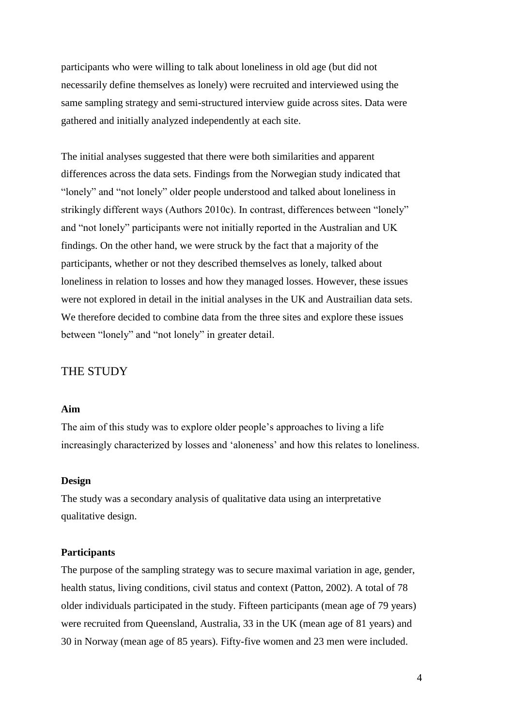participants who were willing to talk about loneliness in old age (but did not necessarily define themselves as lonely) were recruited and interviewed using the same sampling strategy and semi-structured interview guide across sites. Data were gathered and initially analyzed independently at each site.

The initial analyses suggested that there were both similarities and apparent differences across the data sets. Findings from the Norwegian study indicated that "lonely" and "not lonely" older people understood and talked about loneliness in strikingly different ways (Authors 2010c). In contrast, differences between "lonely" and "not lonely" participants were not initially reported in the Australian and UK findings. On the other hand, we were struck by the fact that a majority of the participants, whether or not they described themselves as lonely, talked about loneliness in relation to losses and how they managed losses. However, these issues were not explored in detail in the initial analyses in the UK and Austrailian data sets. We therefore decided to combine data from the three sites and explore these issues between "lonely" and "not lonely" in greater detail.

#### THE STUDY

#### **Aim**

The aim of this study was to explore older people's approaches to living a life increasingly characterized by losses and 'aloneness' and how this relates to loneliness.

#### **Design**

The study was a secondary analysis of qualitative data using an interpretative qualitative design.

#### **Participants**

The purpose of the sampling strategy was to secure maximal variation in age, gender, health status, living conditions, civil status and context [\(Patton, 2002\)](#page-20-8). A total of 78 older individuals participated in the study. Fifteen participants (mean age of 79 years) were recruited from Queensland, Australia, 33 in the UK (mean age of 81 years) and 30 in Norway (mean age of 85 years). Fifty-five women and 23 men were included.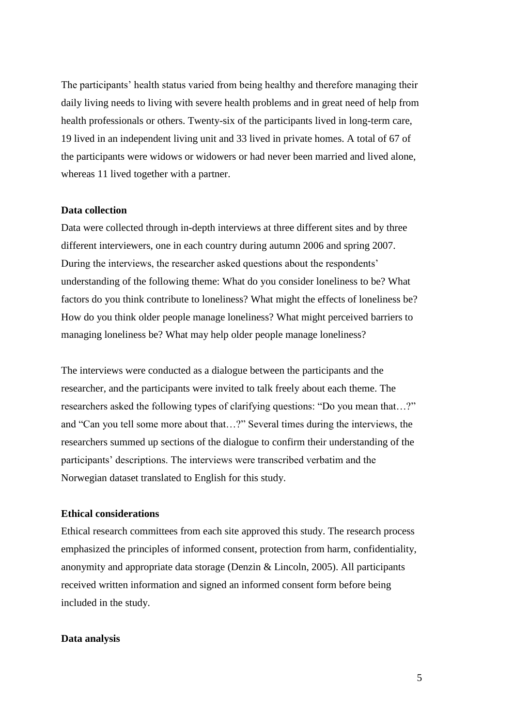The participants' health status varied from being healthy and therefore managing their daily living needs to living with severe health problems and in great need of help from health professionals or others. Twenty-six of the participants lived in long-term care, 19 lived in an independent living unit and 33 lived in private homes. A total of 67 of the participants were widows or widowers or had never been married and lived alone, whereas 11 lived together with a partner.

#### **Data collection**

Data were collected through in-depth interviews at three different sites and by three different interviewers, one in each country during autumn 2006 and spring 2007. During the interviews, the researcher asked questions about the respondents' understanding of the following theme: What do you consider loneliness to be? What factors do you think contribute to loneliness? What might the effects of loneliness be? How do you think older people manage loneliness? What might perceived barriers to managing loneliness be? What may help older people manage loneliness?

The interviews were conducted as a dialogue between the participants and the researcher, and the participants were invited to talk freely about each theme. The researchers asked the following types of clarifying questions: "Do you mean that…?" and "Can you tell some more about that…?" Several times during the interviews, the researchers summed up sections of the dialogue to confirm their understanding of the participants' descriptions. The interviews were transcribed verbatim and the Norwegian dataset translated to English for this study.

#### **Ethical considerations**

Ethical research committees from each site approved this study. The research process emphasized the principles of informed consent, protection from harm, confidentiality, anonymity and appropriate data storage [\(Denzin & Lincoln, 2005\)](#page-19-6). All participants received written information and signed an informed consent form before being included in the study.

#### **Data analysis**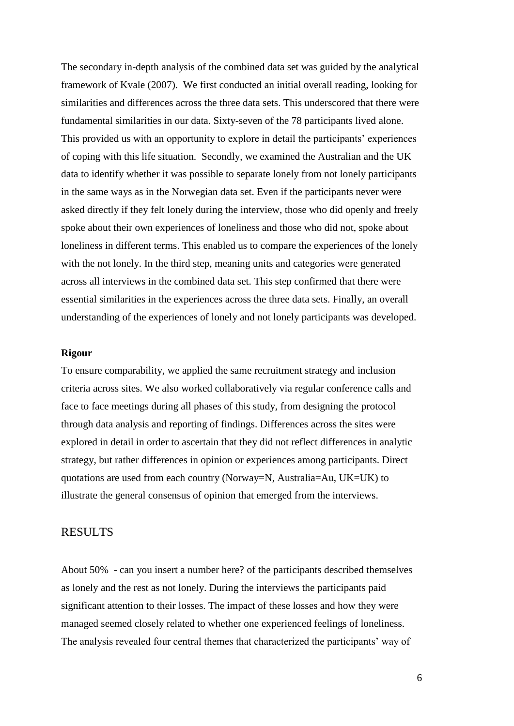The secondary in-depth analysis of the combined data set was guided by the analytical framework of Kvale [\(2007\)](#page-20-9). We first conducted an initial overall reading, looking for similarities and differences across the three data sets. This underscored that there were fundamental similarities in our data. Sixty-seven of the 78 participants lived alone. This provided us with an opportunity to explore in detail the participants' experiences of coping with this life situation. Secondly, we examined the Australian and the UK data to identify whether it was possible to separate lonely from not lonely participants in the same ways as in the Norwegian data set. Even if the participants never were asked directly if they felt lonely during the interview, those who did openly and freely spoke about their own experiences of loneliness and those who did not, spoke about loneliness in different terms. This enabled us to compare the experiences of the lonely with the not lonely. In the third step, meaning units and categories were generated across all interviews in the combined data set. This step confirmed that there were essential similarities in the experiences across the three data sets. Finally, an overall understanding of the experiences of lonely and not lonely participants was developed.

#### **Rigour**

To ensure comparability, we applied the same recruitment strategy and inclusion criteria across sites. We also worked collaboratively via regular conference calls and face to face meetings during all phases of this study, from designing the protocol through data analysis and reporting of findings. Differences across the sites were explored in detail in order to ascertain that they did not reflect differences in analytic strategy, but rather differences in opinion or experiences among participants. Direct quotations are used from each country (Norway=N, Australia=Au, UK=UK) to illustrate the general consensus of opinion that emerged from the interviews.

#### RESULTS

About 50% - can you insert a number here? of the participants described themselves as lonely and the rest as not lonely. During the interviews the participants paid significant attention to their losses. The impact of these losses and how they were managed seemed closely related to whether one experienced feelings of loneliness. The analysis revealed four central themes that characterized the participants' way of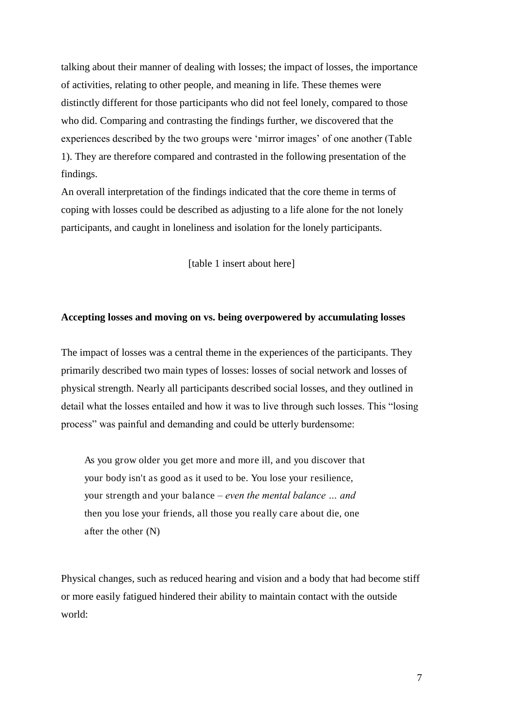talking about their manner of dealing with losses; the impact of losses, the importance of activities, relating to other people, and meaning in life. These themes were distinctly different for those participants who did not feel lonely, compared to those who did. Comparing and contrasting the findings further, we discovered that the experiences described by the two groups were 'mirror images' of one another (Table 1). They are therefore compared and contrasted in the following presentation of the findings.

An overall interpretation of the findings indicated that the core theme in terms of coping with losses could be described as adjusting to a life alone for the not lonely participants, and caught in loneliness and isolation for the lonely participants.

[table 1 insert about here]

#### **Accepting losses and moving on vs. being overpowered by accumulating losses**

The impact of losses was a central theme in the experiences of the participants. They primarily described two main types of losses: losses of social network and losses of physical strength. Nearly all participants described social losses, and they outlined in detail what the losses entailed and how it was to live through such losses. This "losing process" was painful and demanding and could be utterly burdensome:

As you grow older you get more and more ill, and you discover that your body isn't as good as it used to be. You lose your resilience, your strength and your balance *– even the mental balance … and*  then you lose your friends, all those you really care about die, one after the other (N)

Physical changes, such as reduced hearing and vision and a body that had become stiff or more easily fatigued hindered their ability to maintain contact with the outside world: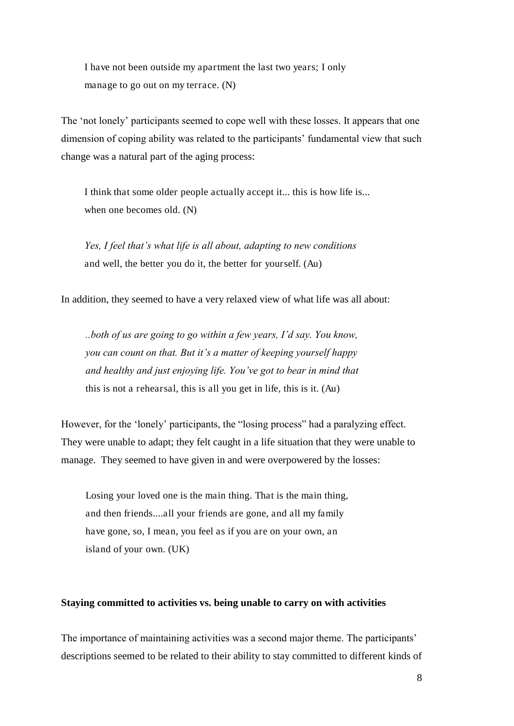I have not been outside my apartment the last two years; I only manage to go out on my terrace. (N)

The 'not lonely' participants seemed to cope well with these losses. It appears that one dimension of coping ability was related to the participants' fundamental view that such change was a natural part of the aging process:

I think that some older people actually accept it... this is how life is... when one becomes old. (N)

*Yes, I feel that's what life is all about, adapting to new conditions*  and well, the better you do it, the better for yourself. (Au)

In addition, they seemed to have a very relaxed view of what life was all about:

*..both of us are going to go within a few years, I'd say. You know, you can count on that. But it's a matter of keeping yourself happy and healthy and just enjoying life. You've got to bear in mind that*  this is not a rehearsal, this is all you get in life, this is it. (Au)

However, for the 'lonely' participants, the "losing process" had a paralyzing effect. They were unable to adapt; they felt caught in a life situation that they were unable to manage. They seemed to have given in and were overpowered by the losses:

Losing your loved one is the main thing. That is the main thing, and then friends....all your friends are gone, and all my family have gone, so, I mean, you feel as if you are on your own, an island of your own. (UK)

#### **Staying committed to activities vs. being unable to carry on with activities**

The importance of maintaining activities was a second major theme. The participants' descriptions seemed to be related to their ability to stay committed to different kinds of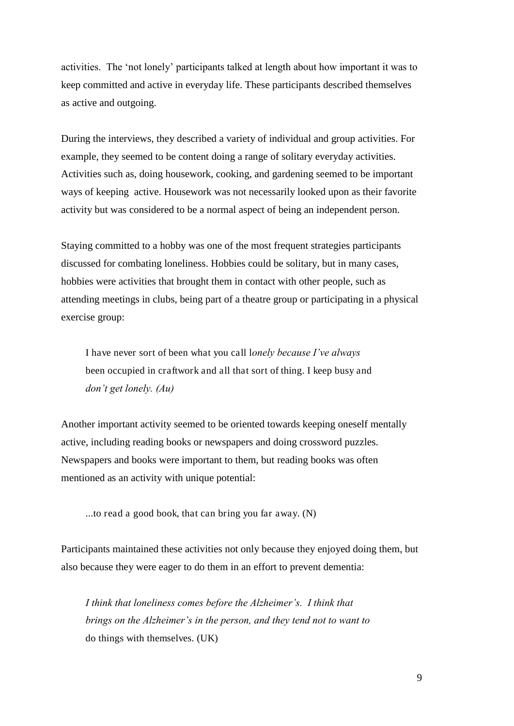activities. The 'not lonely' participants talked at length about how important it was to keep committed and active in everyday life. These participants described themselves as active and outgoing.

During the interviews, they described a variety of individual and group activities. For example, they seemed to be content doing a range of solitary everyday activities. Activities such as, doing housework, cooking, and gardening seemed to be important ways of keeping active. Housework was not necessarily looked upon as their favorite activity but was considered to be a normal aspect of being an independent person.

Staying committed to a hobby was one of the most frequent strategies participants discussed for combating loneliness. Hobbies could be solitary, but in many cases, hobbies were activities that brought them in contact with other people, such as attending meetings in clubs, being part of a theatre group or participating in a physical exercise group:

I have never sort of been what you call l*onely because I've always*  been occupied in craftwork and all that sort of thing. I keep busy and *don't get lonely. (Au)*

Another important activity seemed to be oriented towards keeping oneself mentally active, including reading books or newspapers and doing crossword puzzles. Newspapers and books were important to them, but reading books was often mentioned as an activity with unique potential:

...to read a good book, that can bring you far away. (N)

Participants maintained these activities not only because they enjoyed doing them, but also because they were eager to do them in an effort to prevent dementia:

*I think that loneliness comes before the Alzheimer's. I think that brings on the Alzheimer's in the person, and they tend not to want to*  do things with themselves. (UK)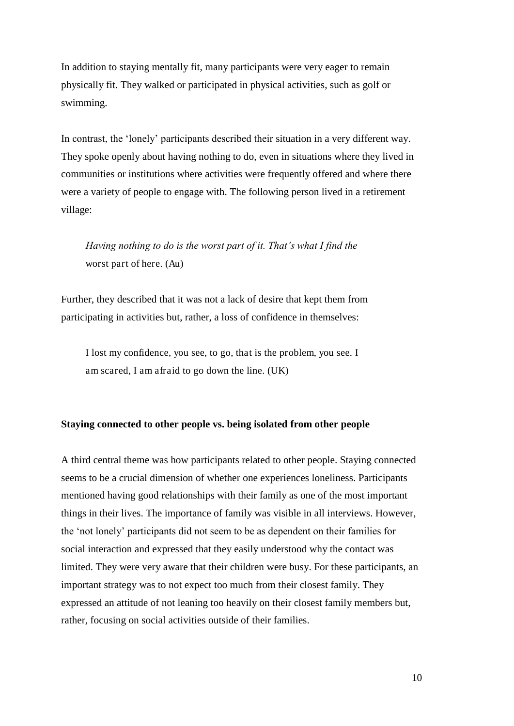In addition to staying mentally fit, many participants were very eager to remain physically fit. They walked or participated in physical activities, such as golf or swimming.

In contrast, the 'lonely' participants described their situation in a very different way. They spoke openly about having nothing to do, even in situations where they lived in communities or institutions where activities were frequently offered and where there were a variety of people to engage with. The following person lived in a retirement village:

*Having nothing to do is the worst part of it. That's what I find the*  worst part of here. (Au)

Further, they described that it was not a lack of desire that kept them from participating in activities but, rather, a loss of confidence in themselves:

I lost my confidence, you see, to go, that is the problem, you see. I am scared, I am afraid to go down the line. (UK)

#### **Staying connected to other people vs. being isolated from other people**

A third central theme was how participants related to other people. Staying connected seems to be a crucial dimension of whether one experiences loneliness. Participants mentioned having good relationships with their family as one of the most important things in their lives. The importance of family was visible in all interviews. However, the 'not lonely' participants did not seem to be as dependent on their families for social interaction and expressed that they easily understood why the contact was limited. They were very aware that their children were busy. For these participants, an important strategy was to not expect too much from their closest family. They expressed an attitude of not leaning too heavily on their closest family members but, rather, focusing on social activities outside of their families.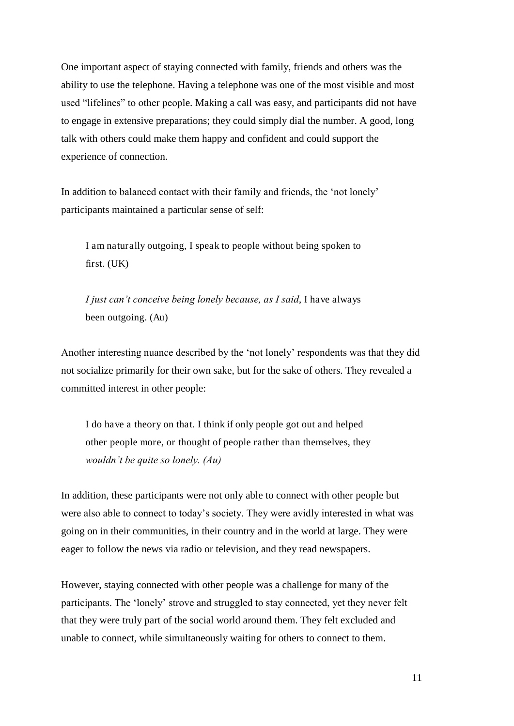One important aspect of staying connected with family, friends and others was the ability to use the telephone. Having a telephone was one of the most visible and most used "lifelines" to other people. Making a call was easy, and participants did not have to engage in extensive preparations; they could simply dial the number. A good, long talk with others could make them happy and confident and could support the experience of connection.

In addition to balanced contact with their family and friends, the 'not lonely' participants maintained a particular sense of self:

I am naturally outgoing, I speak to people without being spoken to first. (UK)

*I just can't conceive being lonely because, as I said*, I have always been outgoing. (Au)

Another interesting nuance described by the 'not lonely' respondents was that they did not socialize primarily for their own sake, but for the sake of others. They revealed a committed interest in other people:

I do have a theory on that. I think if only people got out and helped other people more, or thought of people rather than themselves, they *wouldn't be quite so lonely. (Au)*

In addition, these participants were not only able to connect with other people but were also able to connect to today's society. They were avidly interested in what was going on in their communities, in their country and in the world at large. They were eager to follow the news via radio or television, and they read newspapers.

However, staying connected with other people was a challenge for many of the participants. The 'lonely' strove and struggled to stay connected, yet they never felt that they were truly part of the social world around them. They felt excluded and unable to connect, while simultaneously waiting for others to connect to them.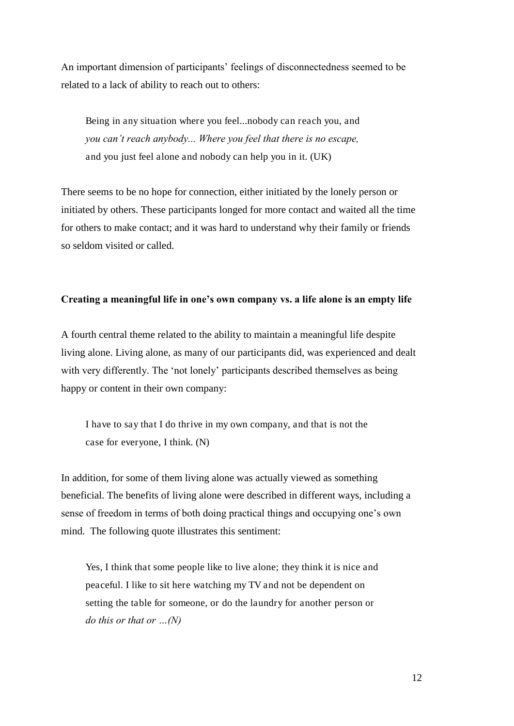An important dimension of participants' feelings of disconnectedness seemed to be related to a lack of ability to reach out to others:

Being in any situation where you feel...nobody can reach you, and *you can't reach anybody... Where you feel that there is no escape,*  and you just feel alone and nobody can help you in it. (UK)

There seems to be no hope for connection, either initiated by the lonely person or initiated by others. These participants longed for more contact and waited all the time for others to make contact; and it was hard to understand why their family or friends so seldom visited or called.

#### **Creating a meaningful life in one's own company vs. a life alone is an empty life**

A fourth central theme related to the ability to maintain a meaningful life despite living alone. Living alone, as many of our participants did, was experienced and dealt with very differently. The 'not lonely' participants described themselves as being happy or content in their own company:

I have to say that I do thrive in my own company, and that is not the case for everyone, I think. (N)

In addition, for some of them living alone was actually viewed as something beneficial. The benefits of living alone were described in different ways, including a sense of freedom in terms of both doing practical things and occupying one's own mind. The following quote illustrates this sentiment:

Yes, I think that some people like to live alone; they think it is nice and peaceful. I like to sit here watching my TV and not be dependent on setting the table for someone, or do the laundry for another person or *do this or that or …(N)*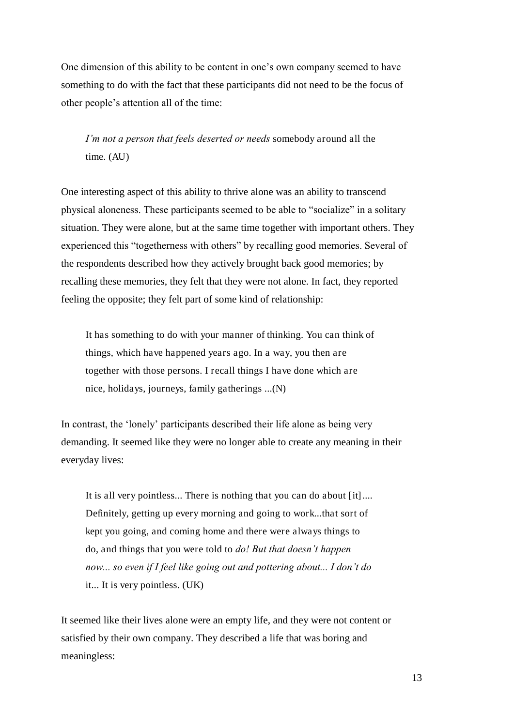One dimension of this ability to be content in one's own company seemed to have something to do with the fact that these participants did not need to be the focus of other people's attention all of the time:

*I'm not a person that feels deserted or needs* somebody around all the time. (AU)

One interesting aspect of this ability to thrive alone was an ability to transcend physical aloneness. These participants seemed to be able to "socialize" in a solitary situation. They were alone, but at the same time together with important others. They experienced this "togetherness with others" by recalling good memories. Several of the respondents described how they actively brought back good memories; by recalling these memories, they felt that they were not alone. In fact, they reported feeling the opposite; they felt part of some kind of relationship:

It has something to do with your manner of thinking. You can think of things, which have happened years ago. In a way, you then are together with those persons. I recall things I have done which are nice, holidays, journeys, family gatherings ...(N)

In contrast, the 'lonely' participants described their life alone as being very demanding. It seemed like they were no longer able to create any meaning in their everyday lives:

It is all very pointless... There is nothing that you can do about [it].... Definitely, getting up every morning and going to work...that sort of kept you going, and coming home and there were always things to do, and things that you were told to *do! But that doesn't happen*  now... so even if I feel like going out and pottering about... I don't do it... It is very pointless. (UK)

It seemed like their lives alone were an empty life, and they were not content or satisfied by their own company. They described a life that was boring and meaningless: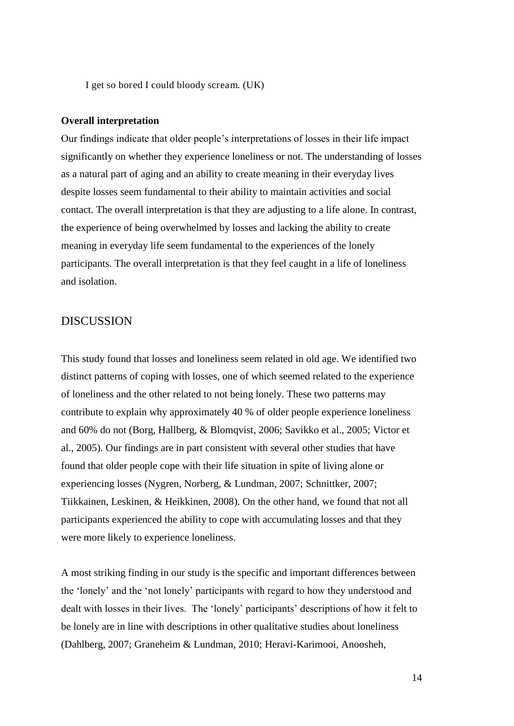I get so bored I could bloody scream. (UK)

#### **Overall interpretation**

Our findings indicate that older people's interpretations of losses in their life impact significantly on whether they experience loneliness or not. The understanding of losses as a natural part of aging and an ability to create meaning in their everyday lives despite losses seem fundamental to their ability to maintain activities and social contact. The overall interpretation is that they are adjusting to a life alone. In contrast, the experience of being overwhelmed by losses and lacking the ability to create meaning in everyday life seem fundamental to the experiences of the lonely participants. The overall interpretation is that they feel caught in a life of loneliness and isolation.

#### DISCUSSION

This study found that losses and loneliness seem related in old age. We identified two distinct patterns of coping with losses, one of which seemed related to the experience of loneliness and the other related to not being lonely. These two patterns may contribute to explain why approximately 40 % of older people experience loneliness and 60% do not [\(Borg, Hallberg, & Blomqvist, 2006;](#page-19-7) [Savikko et al., 2005;](#page-20-2) [Victor et](#page-21-1)  [al., 2005\)](#page-21-1). Our findings are in part consistent with several other studies that have found that older people cope with their life situation in spite of living alone or experiencing losses [\(Nygren, Norberg, & Lundman, 2007;](#page-20-10) [Schnittker, 2007;](#page-20-11) [Tiikkainen, Leskinen, & Heikkinen, 2008\)](#page-20-12). On the other hand, we found that not all participants experienced the ability to cope with accumulating losses and that they were more likely to experience loneliness.

A most striking finding in our study is the specific and important differences between the 'lonely' and the 'not lonely' participants with regard to how they understood and dealt with losses in their lives. The 'lonely' participants' descriptions of how it felt to be lonely are in line with descriptions in other qualitative studies about loneliness [\(Dahlberg, 2007;](#page-19-8) [Graneheim & Lundman, 2010;](#page-19-9) [Heravi-Karimooi, Anoosheh,](#page-20-13)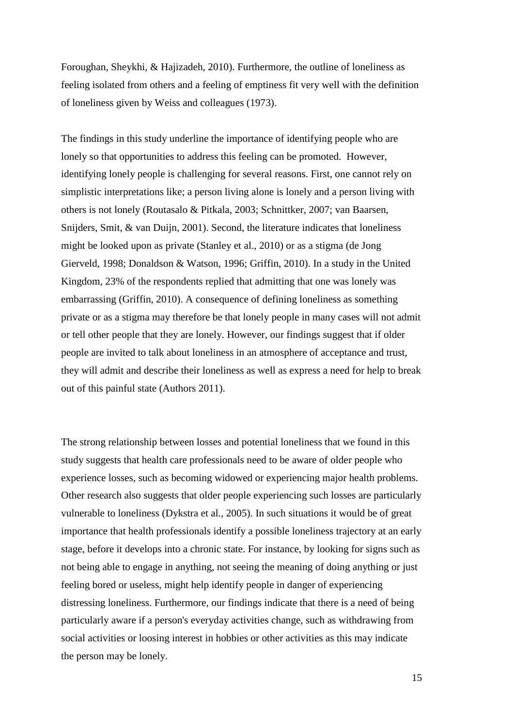[Foroughan, Sheykhi, & Hajizadeh, 2010\)](#page-20-13). Furthermore, the outline of loneliness as feeling isolated from others and a feeling of emptiness fit very well with the definition of loneliness given by Weiss and colleagues (1973).

The findings in this study underline the importance of identifying people who are lonely so that opportunities to address this feeling can be promoted. However, identifying lonely people is challenging for several reasons. First, one cannot rely on simplistic interpretations like; a person living alone is lonely and a person living with others is not lonely [\(Routasalo & Pitkala, 2003;](#page-20-1) [Schnittker, 2007;](#page-20-11) [van Baarsen,](#page-21-2)  [Snijders, Smit, & van Duijn, 2001\)](#page-21-2). Second, the literature indicates that loneliness might be looked upon as private [\(Stanley et al., 2010\)](#page-20-7) or as a stigma [\(de Jong](#page-19-10)  [Gierveld, 1998;](#page-19-10) [Donaldson & Watson, 1996;](#page-19-11) [Griffin, 2010\)](#page-20-14). In a study in the United Kingdom, 23% of the respondents replied that admitting that one was lonely was embarrassing [\(Griffin, 2010\)](#page-20-14). A consequence of defining loneliness as something private or as a stigma may therefore be that lonely people in many cases will not admit or tell other people that they are lonely. However, our findings suggest that if older people are invited to talk about loneliness in an atmosphere of acceptance and trust, they will admit and describe their loneliness as well as express a need for help to break out of this painful state (Authors 2011).

The strong relationship between losses and potential loneliness that we found in this study suggests that health care professionals need to be aware of older people who experience losses, such as becoming widowed or experiencing major health problems. Other research also suggests that older people experiencing such losses are particularly vulnerable to loneliness [\(Dykstra et al., 2005\)](#page-19-0). In such situations it would be of great importance that health professionals identify a possible loneliness trajectory at an early stage, before it develops into a chronic state. For instance, by looking for signs such as not being able to engage in anything, not seeing the meaning of doing anything or just feeling bored or useless, might help identify people in danger of experiencing distressing loneliness. Furthermore, our findings indicate that there is a need of being particularly aware if a person's everyday activities change, such as withdrawing from social activities or loosing interest in hobbies or other activities as this may indicate the person may be lonely.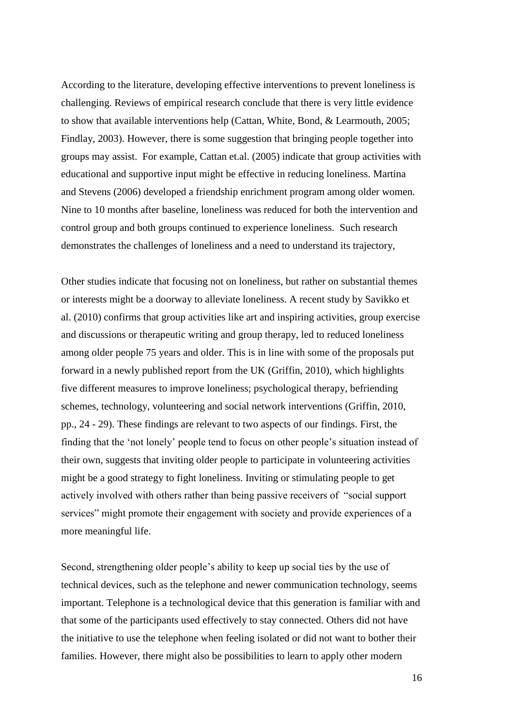According to the literature, developing effective interventions to prevent loneliness is challenging. Reviews of empirical research conclude that there is very little evidence to show that available interventions help [\(Cattan, White, Bond, & Learmouth, 2005;](#page-19-12) [Findlay, 2003\)](#page-19-13). However, there is some suggestion that bringing people together into groups may assist. For example, Cattan et.al. [\(2005\)](#page-19-12) indicate that group activities with educational and supportive input might be effective in reducing loneliness. Martina and Stevens [\(2006\)](#page-20-15) developed a friendship enrichment program among older women. Nine to 10 months after baseline, loneliness was reduced for both the intervention and control group and both groups continued to experience loneliness. Such research demonstrates the challenges of loneliness and a need to understand its trajectory,

Other studies indicate that focusing not on loneliness, but rather on substantial themes or interests might be a doorway to alleviate loneliness. A recent study by Savikko et al. [\(2010\)](#page-20-16) confirms that group activities like art and inspiring activities, group exercise and discussions or therapeutic writing and group therapy, led to reduced loneliness among older people 75 years and older. This is in line with some of the proposals put forward in a newly published report from the UK [\(Griffin, 2010\)](#page-20-14), which highlights five different measures to improve loneliness; psychological therapy, befriending schemes, technology, volunteering and social network interventions [\(Griffin, 2010,](#page-20-14)  [pp., 24 - 29\)](#page-20-14). These findings are relevant to two aspects of our findings. First, the finding that the 'not lonely' people tend to focus on other people's situation instead of their own, suggests that inviting older people to participate in volunteering activities might be a good strategy to fight loneliness. Inviting or stimulating people to get actively involved with others rather than being passive receivers of "social support services" might promote their engagement with society and provide experiences of a more meaningful life.

Second, strengthening older people's ability to keep up social ties by the use of technical devices, such as the telephone and newer communication technology, seems important. Telephone is a technological device that this generation is familiar with and that some of the participants used effectively to stay connected. Others did not have the initiative to use the telephone when feeling isolated or did not want to bother their families. However, there might also be possibilities to learn to apply other modern

16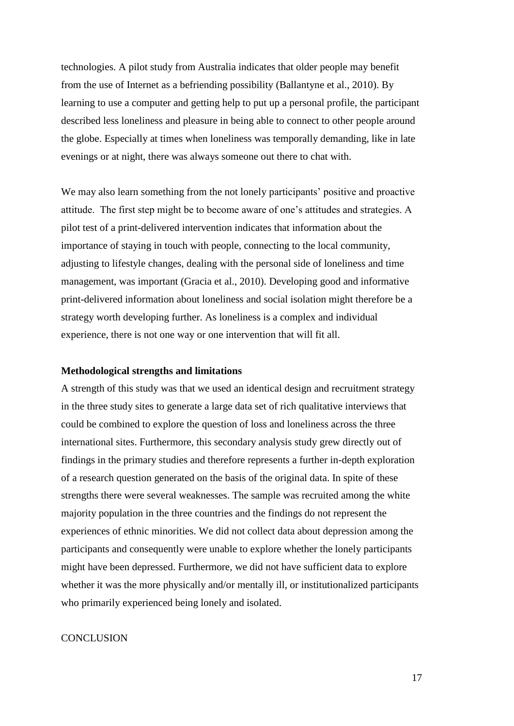technologies. A pilot study from Australia indicates that older people may benefit from the use of Internet as a befriending possibility [\(Ballantyne et al., 2010\)](#page-19-4). By learning to use a computer and getting help to put up a personal profile, the participant described less loneliness and pleasure in being able to connect to other people around the globe. Especially at times when loneliness was temporally demanding, like in late evenings or at night, there was always someone out there to chat with.

We may also learn something from the not lonely participants' positive and proactive attitude. The first step might be to become aware of one's attitudes and strategies. A pilot test of a print-delivered intervention indicates that information about the importance of staying in touch with people, connecting to the local community, adjusting to lifestyle changes, dealing with the personal side of loneliness and time management, was important [\(Gracia et al., 2010\)](#page-19-5). Developing good and informative print-delivered information about loneliness and social isolation might therefore be a strategy worth developing further. As loneliness is a complex and individual experience, there is not one way or one intervention that will fit all.

#### **Methodological strengths and limitations**

A strength of this study was that we used an identical design and recruitment strategy in the three study sites to generate a large data set of rich qualitative interviews that could be combined to explore the question of loss and loneliness across the three international sites. Furthermore, this secondary analysis study grew directly out of findings in the primary studies and therefore represents a further in-depth exploration of a research question generated on the basis of the original data. In spite of these strengths there were several weaknesses. The sample was recruited among the white majority population in the three countries and the findings do not represent the experiences of ethnic minorities. We did not collect data about depression among the participants and consequently were unable to explore whether the lonely participants might have been depressed. Furthermore, we did not have sufficient data to explore whether it was the more physically and/or mentally ill, or institutionalized participants who primarily experienced being lonely and isolated.

#### **CONCLUSION**

17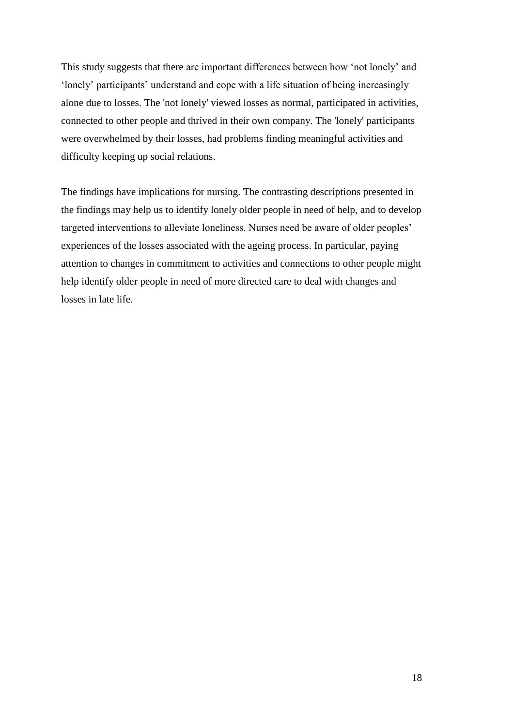This study suggests that there are important differences between how 'not lonely' and 'lonely' participants' understand and cope with a life situation of being increasingly alone due to losses. The 'not lonely' viewed losses as normal, participated in activities, connected to other people and thrived in their own company. The 'lonely' participants were overwhelmed by their losses, had problems finding meaningful activities and difficulty keeping up social relations.

<span id="page-19-13"></span><span id="page-19-12"></span><span id="page-19-11"></span><span id="page-19-10"></span><span id="page-19-9"></span><span id="page-19-8"></span><span id="page-19-7"></span><span id="page-19-6"></span><span id="page-19-5"></span><span id="page-19-4"></span><span id="page-19-3"></span><span id="page-19-2"></span><span id="page-19-1"></span><span id="page-19-0"></span>The findings have implications for nursing. The contrasting descriptions presented in the findings may help us to identify lonely older people in need of help, and to develop targeted interventions to alleviate loneliness. Nurses need be aware of older peoples' experiences of the losses associated with the ageing process. In particular, paying attention to changes in commitment to activities and connections to other people might help identify older people in need of more directed care to deal with changes and losses in late life.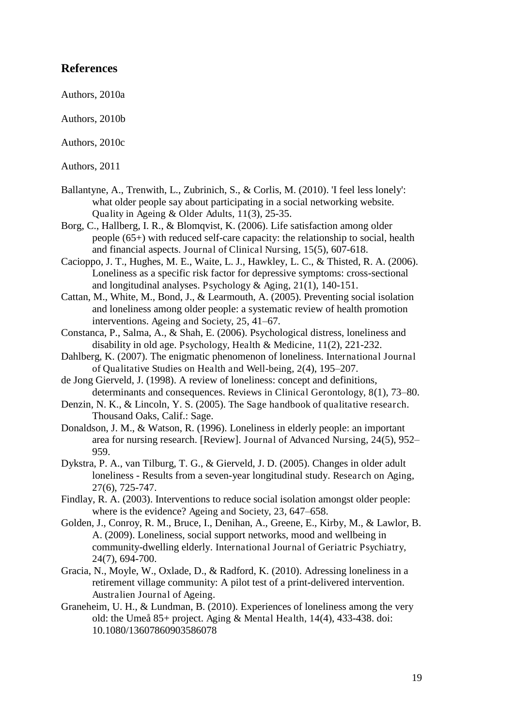#### <span id="page-20-0"></span>**References**

<span id="page-20-14"></span>Authors, 2010a

<span id="page-20-13"></span>Authors, 2010b

Authors, 2010c

<span id="page-20-4"></span>Authors, 2011

- Ballantyne, A., Trenwith, L., Zubrinich, S., & Corlis, M. (2010). 'I feel less lonely': what older people say about participating in a social networking website. Quality in Ageing & Older Adults, 11(3), 25-35.
- <span id="page-20-5"></span>Borg, C., Hallberg, I. R., & Blomqvist, K. (2006). Life satisfaction among older people (65+) with reduced self-care capacity: the relationship to social, health and financial aspects. Journal of Clinical Nursing, 15(5), 607-618.
- <span id="page-20-6"></span>Cacioppo, J. T., Hughes, M. E., Waite, L. J., Hawkley, L. C., & Thisted, R. A. (2006). Loneliness as a specific risk factor for depressive symptoms: cross-sectional and longitudinal analyses. Psychology & Aging, 21(1), 140-151.
- <span id="page-20-15"></span><span id="page-20-9"></span>Cattan, M., White, M., Bond, J., & Learmouth, A. (2005). Preventing social isolation and loneliness among older people: a systematic review of health promotion interventions. Ageing and Society, 25, 41–67.
- <span id="page-20-10"></span>Constanca, P., Salma, A., & Shah, E. (2006). Psychological distress, loneliness and disability in old age. Psychology, Health & Medicine, 11(2), 221-232.
- <span id="page-20-8"></span>Dahlberg, K. (2007). The enigmatic phenomenon of loneliness. International Journal of Qualitative Studies on Health and Well-being, 2(4), 195–207.
- <span id="page-20-1"></span>de Jong Gierveld, J. (1998). A review of loneliness: concept and definitions, determinants and consequences. Reviews in Clinical Gerontology, 8(1), 73–80.
- <span id="page-20-16"></span>Denzin, N. K., & Lincoln, Y. S. (2005). The Sage handbook of qualitative research. Thousand Oaks, Calif.: Sage.
- Donaldson, J. M., & Watson, R. (1996). Loneliness in elderly people: an important area for nursing research. [Review]. Journal of Advanced Nursing, 24(5), 952– 959.
- <span id="page-20-2"></span>Dykstra, P. A., van Tilburg, T. G., & Gierveld, J. D. (2005). Changes in older adult loneliness - Results from a seven-year longitudinal study. Research on Aging, 27(6), 725-747.
- <span id="page-20-11"></span>Findlay, R. A. (2003). Interventions to reduce social isolation amongst older people: where is the evidence? Ageing and Society, 23, 647–658.
- <span id="page-20-7"></span>Golden, J., Conroy, R. M., Bruce, I., Denihan, A., Greene, E., Kirby, M., & Lawlor, B. A. (2009). Loneliness, social support networks, mood and wellbeing in community-dwelling elderly. International Journal of Geriatric Psychiatry, 24(7), 694-700.
- <span id="page-20-3"></span>Gracia, N., Moyle, W., Oxlade, D., & Radford, K. (2010). Adressing loneliness in a retirement village community: A pilot test of a print-delivered intervention. Australien Journal of Ageing.
- <span id="page-20-12"></span>Graneheim, U. H., & Lundman, B. (2010). Experiences of loneliness among the very old: the Umeå 85+ project. Aging & Mental Health, 14(4), 433-438. doi: 10.1080/13607860903586078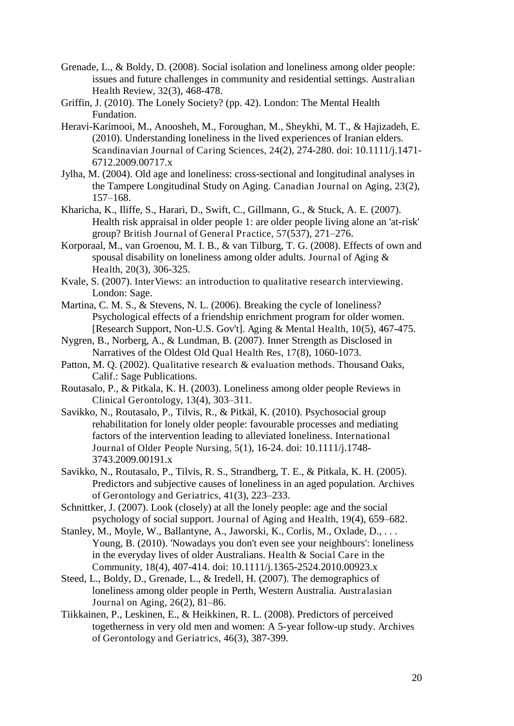- <span id="page-21-2"></span>Grenade, L., & Boldy, D. (2008). Social isolation and loneliness among older people: issues and future challenges in community and residential settings. Australian Health Review, 32(3), 468-478.
- Griffin, J. (2010). The Lonely Society? (pp. 42). London: The Mental Health Fundation.
- <span id="page-21-1"></span><span id="page-21-0"></span>Heravi-Karimooi, M., Anoosheh, M., Foroughan, M., Sheykhi, M. T., & Hajizadeh, E. (2010). Understanding loneliness in the lived experiences of Iranian elders. Scandinavian Journal of Caring Sciences, 24(2), 274-280. doi: 10.1111/j.1471- 6712.2009.00717.x
- Jylha, M. (2004). Old age and loneliness: cross-sectional and longitudinal analyses in the Tampere Longitudinal Study on Aging. Canadian Journal on Aging, 23(2), 157–168.
- Kharicha, K., Iliffe, S., Harari, D., Swift, C., Gillmann, G., & Stuck, A. E. (2007). Health risk appraisal in older people 1: are older people living alone an 'at-risk' group? British Journal of General Practice, 57(537), 271–276.
- Korporaal, M., van Groenou, M. I. B., & van Tilburg, T. G. (2008). Effects of own and spousal disability on loneliness among older adults. Journal of Aging & Health, 20(3), 306-325.
- Kvale, S. (2007). InterViews: an introduction to qualitative research interviewing. London: Sage.
- Martina, C. M. S., & Stevens, N. L. (2006). Breaking the cycle of loneliness? Psychological effects of a friendship enrichment program for older women. [Research Support, Non-U.S. Gov't]. Aging & Mental Health, 10(5), 467-475.
- Nygren, B., Norberg, A., & Lundman, B. (2007). Inner Strength as Disclosed in Narratives of the Oldest Old Qual Health Res, 17(8), 1060-1073.
- Patton, M. Q. (2002). Qualitative research & evaluation methods. Thousand Oaks, Calif.: Sage Publications.
- Routasalo, P., & Pitkala, K. H. (2003). Loneliness among older people Reviews in Clinical Gerontology, 13(4), 303–311.
- Savikko, N., Routasalo, P., Tilvis, R., & Pitkäl, K. (2010). Psychosocial group rehabilitation for lonely older people: favourable processes and mediating factors of the intervention leading to alleviated loneliness. International Journal of Older People Nursing, 5(1), 16-24. doi: 10.1111/j.1748- 3743.2009.00191.x
- Savikko, N., Routasalo, P., Tilvis, R. S., Strandberg, T. E., & Pitkala, K. H. (2005). Predictors and subjective causes of loneliness in an aged population. Archives of Gerontology and Geriatrics, 41(3), 223–233.
- Schnittker, J. (2007). Look (closely) at all the lonely people: age and the social psychology of social support. Journal of Aging and Health, 19(4), 659–682.
- Stanley, M., Moyle, W., Ballantyne, A., Jaworski, K., Corlis, M., Oxlade, D., . . . Young, B. (2010). 'Nowadays you don't even see your neighbours': loneliness in the everyday lives of older Australians. Health & Social Care in the Community, 18(4), 407-414. doi: 10.1111/j.1365-2524.2010.00923.x
- Steed, L., Boldy, D., Grenade, L., & Iredell, H. (2007). The demographics of loneliness among older people in Perth, Western Australia. Australasian Journal on Aging, 26(2), 81–86.
- Tiikkainen, P., Leskinen, E., & Heikkinen, R. L. (2008). Predictors of perceived togetherness in very old men and women: A 5-year follow-up study. Archives of Gerontology and Geriatrics, 46(3), 387-399.